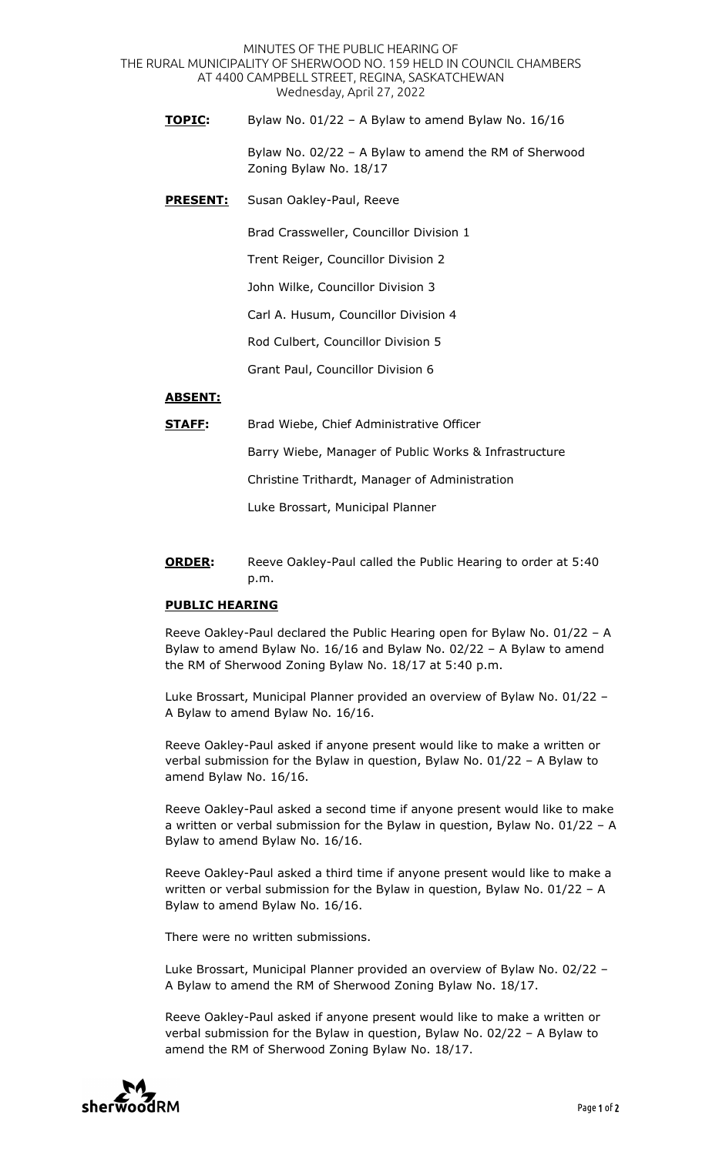MINUTES OF THE PUBLIC HEARING OF THE RURAL MUNICIPALITY OF SHERWOOD NO. 159 HELD IN COUNCIL CHAMBERS AT 4400 CAMPBELL STREET, REGINA, SASKATCHEWAN Wednesday, April 27, 2022

**TOPIC:** Bylaw No. 01/22 – A Bylaw to amend Bylaw No. 16/16

 Bylaw No. 02/22 – A Bylaw to amend the RM of Sherwood Zoning Bylaw No. 18/17

**PRESENT:** Susan Oakley-Paul, Reeve

Brad Crassweller, Councillor Division 1

Trent Reiger, Councillor Division 2

John Wilke, Councillor Division 3

Carl A. Husum, Councillor Division 4

Rod Culbert, Councillor Division 5

Grant Paul, Councillor Division 6

## **ABSENT:**

| STAFF: | Brad Wiebe, Chief Administrative Officer              |
|--------|-------------------------------------------------------|
|        | Barry Wiebe, Manager of Public Works & Infrastructure |
|        | Christine Trithardt, Manager of Administration        |
|        | Luke Brossart, Municipal Planner                      |
|        |                                                       |

**ORDER:** Reeve Oakley-Paul called the Public Hearing to order at 5:40 p.m.

## **PUBLIC HEARING**

Reeve Oakley-Paul declared the Public Hearing open for Bylaw No. 01/22 – A Bylaw to amend Bylaw No. 16/16 and Bylaw No. 02/22 – A Bylaw to amend the RM of Sherwood Zoning Bylaw No. 18/17 at 5:40 p.m.

Luke Brossart, Municipal Planner provided an overview of Bylaw No. 01/22 – A Bylaw to amend Bylaw No. 16/16.

Reeve Oakley-Paul asked if anyone present would like to make a written or verbal submission for the Bylaw in question, Bylaw No. 01/22 – A Bylaw to amend Bylaw No. 16/16.

Reeve Oakley-Paul asked a second time if anyone present would like to make a written or verbal submission for the Bylaw in question, Bylaw No. 01/22 – A Bylaw to amend Bylaw No. 16/16.

Reeve Oakley-Paul asked a third time if anyone present would like to make a written or verbal submission for the Bylaw in question, Bylaw No. 01/22 – A Bylaw to amend Bylaw No. 16/16.

There were no written submissions.

Luke Brossart, Municipal Planner provided an overview of Bylaw No. 02/22 – A Bylaw to amend the RM of Sherwood Zoning Bylaw No. 18/17.

Reeve Oakley-Paul asked if anyone present would like to make a written or verbal submission for the Bylaw in question, Bylaw No. 02/22 – A Bylaw to amend the RM of Sherwood Zoning Bylaw No. 18/17.